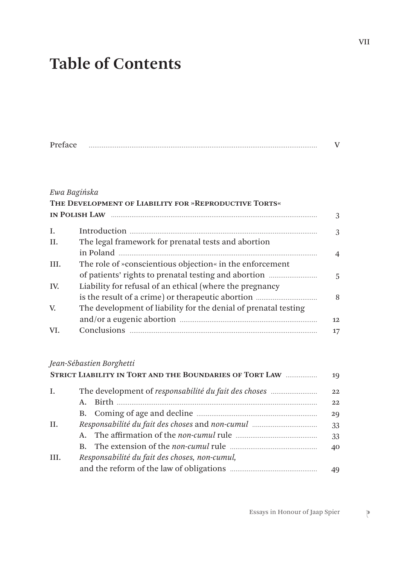# **Table of Contents**

| ÷<br>PH |  |  |
|---------|--|--|
|---------|--|--|

#### *Ewa Bagińska*

|      | THE DEVELOPMENT OF LIABILITY FOR »REPRODUCTIVE TORTS«           | 3              |
|------|-----------------------------------------------------------------|----------------|
| I.   |                                                                 | 3              |
| II.  | The legal framework for prenatal tests and abortion             |                |
|      |                                                                 | $\overline{4}$ |
| III. | The role of »conscientious objection« in the enforcement        |                |
|      |                                                                 | 5              |
| IV.  | Liability for refusal of an ethical (where the pregnancy        |                |
|      |                                                                 | 8              |
| V.   | The development of liability for the denial of prenatal testing |                |
|      |                                                                 | 12.            |
| VI.  |                                                                 | 17             |

#### *Jean-Sébastien Borghetti*

|      | STRICT LIABILITY IN TORT AND THE BOUNDARIES OF TORT LAW | 19 |
|------|---------------------------------------------------------|----|
| Ι.   |                                                         | 22 |
|      | $\mathbf{A}$ .                                          | 22 |
|      |                                                         | 29 |
| H.   |                                                         | 33 |
|      |                                                         | 33 |
|      |                                                         | 40 |
| III. | Responsabilité du fait des choses, non-cumul,           |    |
|      |                                                         | 49 |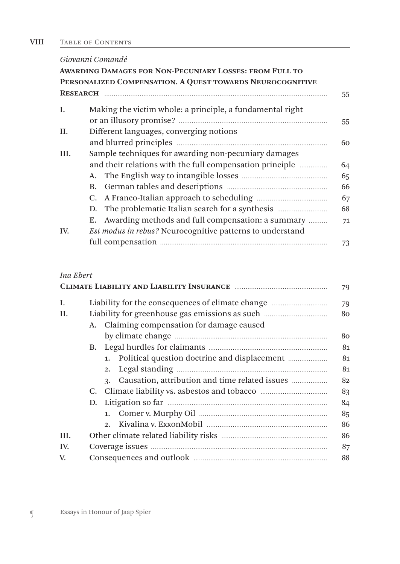#### TABLE OF CONTENTS VIII

### *Giovanni Comandé* **Awarding Damages for Non-Pecuniary Losses: from Full to Personalized Compensation. A Quest towards Neurocognitive Research** ........................................................................................................................ 55 I. Making the victim whole: a principle, a fundamental right or an illusory promise? ................................................................................ 55 II. Different languages, converging notions and blurred principles ................................................................................. 60 III. Sample techniques for awarding non-pecuniary damages and their relations with the full compensation principle ............... 64 A. The English way to intangible losses .............................................. 65 B. German tables and descriptions ...................................................... 66 C. A Franco-Italian approach to scheduling ...................................... 67 D. The problematic Italian search for a synthesis ........................... 68 E. Awarding methods and full compensation: a summary .......... 71 IV. *Est modus in rebus?* Neurocognitive patterns to understand full compensation .......................................................................................... 73

#### *Ina Ebert*

|      |                                                 | 79 |  |  |  |  |
|------|-------------------------------------------------|----|--|--|--|--|
| I.   |                                                 |    |  |  |  |  |
| H.   |                                                 |    |  |  |  |  |
|      | A. Claiming compensation for damage caused      |    |  |  |  |  |
|      |                                                 | 80 |  |  |  |  |
|      |                                                 | 81 |  |  |  |  |
|      | 1. Political question doctrine and displacement | 81 |  |  |  |  |
|      | 2.                                              | 81 |  |  |  |  |
|      | 3.                                              | 82 |  |  |  |  |
|      | C.                                              | 83 |  |  |  |  |
|      |                                                 | 84 |  |  |  |  |
|      |                                                 | 85 |  |  |  |  |
|      | $2^{n}$                                         | 86 |  |  |  |  |
| III. |                                                 | 86 |  |  |  |  |
| IV.  | 87                                              |    |  |  |  |  |
| V.   | 88                                              |    |  |  |  |  |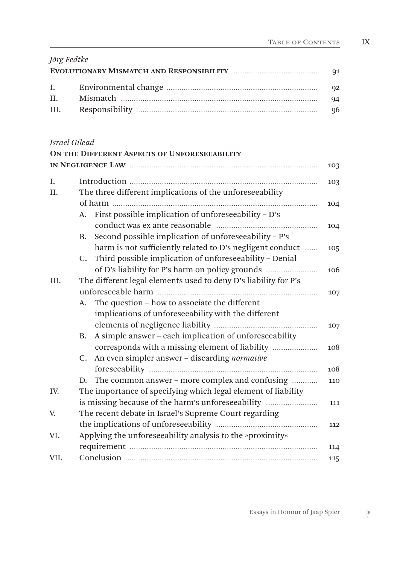| Jörg Fedtke |    |
|-------------|----|
|             |    |
|             |    |
|             | 94 |
|             |    |

## *Israel Gilead*

|      | ON THE DIFFERENT ASPECTS OF UNFORESEEABILITY                        |     |  |  |  |
|------|---------------------------------------------------------------------|-----|--|--|--|
|      |                                                                     | 103 |  |  |  |
| I.   |                                                                     | 103 |  |  |  |
| II.  | The three different implications of the unforeseeability            |     |  |  |  |
|      |                                                                     |     |  |  |  |
|      | First possible implication of unforeseeability - D's<br>A.          | 104 |  |  |  |
|      | Second possible implication of unforeseeability - P's<br>В.         |     |  |  |  |
|      | harm is not sufficiently related to D's negligent conduct           | 105 |  |  |  |
|      | Third possible implication of unforeseeability - Denial<br>C.       |     |  |  |  |
|      | of D's liability for P's harm on policy grounds                     | 106 |  |  |  |
| III. | The different legal elements used to deny D's liability for P's     |     |  |  |  |
|      |                                                                     | 107 |  |  |  |
|      | The question - how to associate the different<br>A.                 |     |  |  |  |
|      | implications of unforeseeability with the different                 |     |  |  |  |
|      |                                                                     | 107 |  |  |  |
|      | A simple answer - each implication of unforeseeability<br><b>B.</b> |     |  |  |  |
|      | corresponds with a missing element of liability                     | 108 |  |  |  |
|      | C. An even simpler answer - discarding normative                    |     |  |  |  |
|      |                                                                     | 108 |  |  |  |
|      | The common answer – more complex and confusing<br>D.                | 110 |  |  |  |
| IV.  | The importance of specifying which legal element of liability       |     |  |  |  |
|      | is missing because of the harm's unforeseeability                   | 111 |  |  |  |
| V.   | The recent debate in Israel's Supreme Court regarding               |     |  |  |  |
|      |                                                                     | 112 |  |  |  |
| VI.  | Applying the unforeseeability analysis to the »proximity«           |     |  |  |  |
|      |                                                                     | 114 |  |  |  |
| VII. |                                                                     | 115 |  |  |  |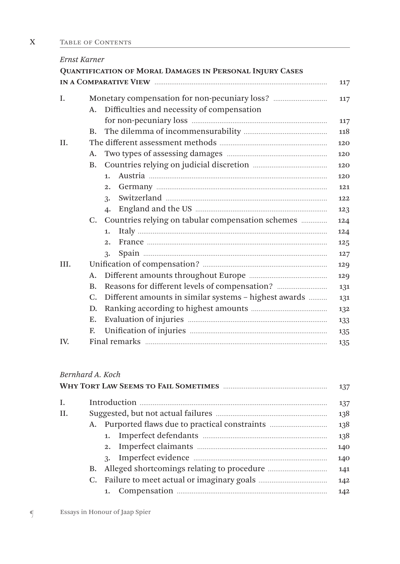| Ernst Karner |           |                                                          |     |  |  |
|--------------|-----------|----------------------------------------------------------|-----|--|--|
|              |           | QUANTIFICATION OF MORAL DAMAGES IN PERSONAL INJURY CASES |     |  |  |
|              |           |                                                          | 117 |  |  |
| I.           |           |                                                          | 117 |  |  |
|              | A.        | Difficulties and necessity of compensation               |     |  |  |
|              |           |                                                          | 117 |  |  |
|              | B.        |                                                          | 118 |  |  |
| II.          |           |                                                          | 120 |  |  |
|              | A.        |                                                          | 120 |  |  |
|              | <b>B.</b> |                                                          | 120 |  |  |
|              |           | 1.                                                       | 120 |  |  |
|              |           | 2.                                                       | 121 |  |  |
|              |           | 3.                                                       | 122 |  |  |
|              |           | $\mathbf{4}$                                             | 123 |  |  |
|              |           | C. Countries relying on tabular compensation schemes     | 124 |  |  |
|              |           | 1.                                                       | 124 |  |  |
|              |           | 2.                                                       | 125 |  |  |
|              |           | 3.                                                       | 127 |  |  |
| III.         |           |                                                          | 129 |  |  |
|              | A.        | 129                                                      |     |  |  |
|              | <b>B.</b> | Reasons for different levels of compensation?            | 131 |  |  |
|              | C.        | Different amounts in similar systems - highest awards    | 131 |  |  |
|              | D.        |                                                          | 132 |  |  |
|              | Е.        |                                                          | 133 |  |  |
|              | F.        |                                                          | 135 |  |  |
| IV.          | 135       |                                                          |     |  |  |

#### *Bernhard A. Koch*

|     |     |  | 137 |  |  |
|-----|-----|--|-----|--|--|
| I.  | 137 |  |     |  |  |
| II. |     |  |     |  |  |
|     |     |  | 138 |  |  |
|     |     |  | 138 |  |  |
|     |     |  | 140 |  |  |
|     |     |  | 140 |  |  |
|     | В.  |  | 141 |  |  |
|     |     |  | 142 |  |  |
|     |     |  | 142 |  |  |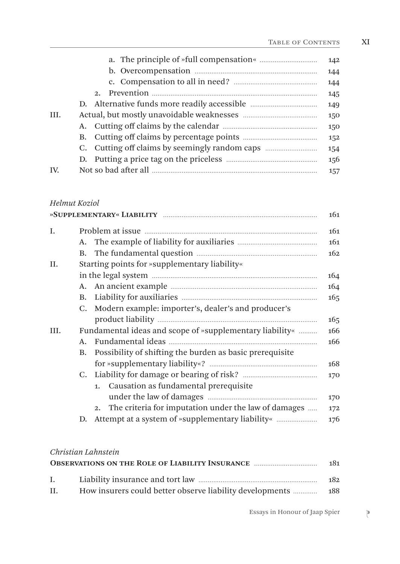XI

|      |         | 142 |
|------|---------|-----|
|      |         | 144 |
|      |         | 144 |
|      | $2^{1}$ | 145 |
|      |         | 149 |
| III. |         | 150 |
|      |         | 150 |
|      |         | 152 |
|      |         | 154 |
|      |         | 156 |
| IV.  |         | 157 |

#### *Helmut Koziol*

|      |    |                                                          | 161             |
|------|----|----------------------------------------------------------|-----------------|
| Ι.   |    |                                                          | 161             |
|      |    |                                                          | 161             |
|      |    |                                                          | 162             |
| II.  |    | Starting points for »supplementary liability«            |                 |
|      |    |                                                          | 164             |
|      |    |                                                          | 164             |
|      |    |                                                          | 16 <sub>5</sub> |
|      |    | C. Modern example: importer's, dealer's and producer's   |                 |
|      |    |                                                          | 165             |
| III. |    | Fundamental ideas and scope of »supplementary liability« | 166             |
|      | A. |                                                          | 166             |
|      | В. | Possibility of shifting the burden as basic prerequisite |                 |
|      |    |                                                          | 168             |
|      |    |                                                          | 170             |
|      |    | 1. Causation as fundamental prerequisite                 |                 |
|      |    |                                                          | 170             |
|      |    | 2. The criteria for imputation under the law of damages  | 172             |
|      | D. |                                                          | 176             |
|      |    |                                                          |                 |

#### *Christian Lahnstein*

|              | <b>OBSERVATIONS ON THE ROLE OF LIABILITY INSURANCE </b> | -181 |
|--------------|---------------------------------------------------------|------|
| $\mathbf{L}$ |                                                         | 182  |
| II.          |                                                         |      |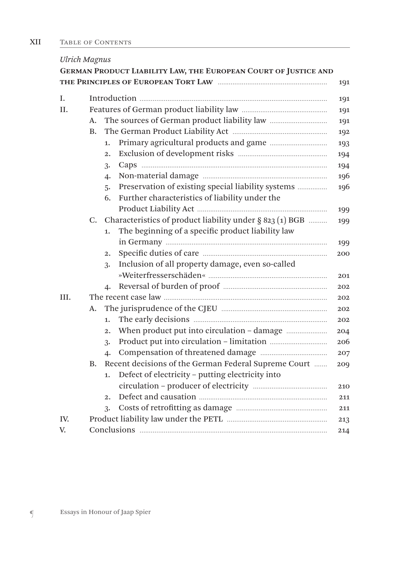| <b>Ulrich Magnus</b> |           |                  |                                                                 |     |  |
|----------------------|-----------|------------------|-----------------------------------------------------------------|-----|--|
|                      |           |                  | GERMAN PRODUCT LIABILITY LAW, THE EUROPEAN COURT OF JUSTICE AND |     |  |
|                      |           |                  |                                                                 | 191 |  |
| L.                   |           |                  |                                                                 | 191 |  |
| II.                  | 191       |                  |                                                                 |     |  |
|                      | А.        |                  |                                                                 | 191 |  |
|                      | <b>B.</b> |                  |                                                                 | 192 |  |
|                      |           | 1.               |                                                                 | 193 |  |
|                      |           | $\overline{2}$ . |                                                                 | 194 |  |
|                      |           | 3.               |                                                                 | 194 |  |
|                      |           | 4.               |                                                                 | 196 |  |
|                      |           | 5.               | Preservation of existing special liability systems              | 196 |  |
|                      |           | 6.               | Further characteristics of liability under the                  |     |  |
|                      |           |                  |                                                                 | 199 |  |
|                      |           |                  | C. Characteristics of product liability under $\S$ 823 (1) BGB  | 199 |  |
|                      |           | 1.               | The beginning of a specific product liability law               |     |  |
|                      |           |                  |                                                                 | 199 |  |
|                      |           | $\overline{2}$ . |                                                                 | 200 |  |
|                      |           | 3.               | Inclusion of all property damage, even so-called                |     |  |
|                      |           |                  |                                                                 | 201 |  |
|                      |           | $\mathbf{4}$     |                                                                 | 202 |  |
| III.                 |           |                  |                                                                 |     |  |
|                      | А.        |                  |                                                                 | 202 |  |
|                      |           | 1.               |                                                                 | 202 |  |
|                      |           | $\overline{2}$ . |                                                                 | 204 |  |
|                      |           | 3.               |                                                                 | 206 |  |
|                      |           | 4.               |                                                                 | 207 |  |
|                      | <b>B.</b> |                  | Recent decisions of the German Federal Supreme Court            | 209 |  |
|                      |           | 1.               | Defect of electricity - putting electricity into                |     |  |
|                      |           |                  |                                                                 | 210 |  |
|                      |           | 2.1              |                                                                 | 211 |  |
|                      |           | 3.               |                                                                 | 211 |  |
| IV.                  |           |                  |                                                                 | 213 |  |
| V.                   |           |                  |                                                                 | 214 |  |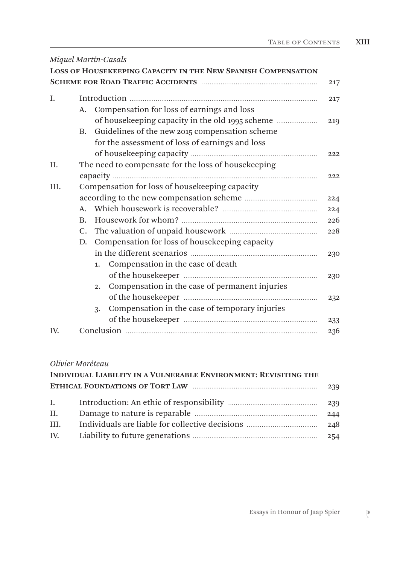|      |                                                | Miquel Martín-Casals<br><b>LOSS OF HOUSEKEEPING CAPACITY IN THE NEW SPANISH COMPENSATION</b> | 217 |
|------|------------------------------------------------|----------------------------------------------------------------------------------------------|-----|
| I.   |                                                |                                                                                              | 217 |
|      | А.                                             | Compensation for loss of earnings and loss                                                   |     |
|      |                                                | of housekeeping capacity in the old 1995 scheme                                              | 219 |
|      | <b>B.</b>                                      | Guidelines of the new 2015 compensation scheme                                               |     |
|      |                                                | for the assessment of loss of earnings and loss                                              |     |
|      |                                                |                                                                                              | 222 |
| II.  |                                                | The need to compensate for the loss of housekeeping                                          |     |
|      |                                                |                                                                                              | 222 |
| III. | Compensation for loss of housekeeping capacity |                                                                                              |     |
|      |                                                |                                                                                              | 224 |
|      | $\mathbf{A}$ .                                 |                                                                                              | 224 |
|      | $\mathbf{B}$ .                                 |                                                                                              | 226 |
|      |                                                |                                                                                              | 228 |
|      | D.                                             | Compensation for loss of housekeeping capacity                                               |     |
|      |                                                |                                                                                              | 230 |
|      |                                                | Compensation in the case of death<br>1.                                                      |     |
|      |                                                |                                                                                              | 230 |
|      |                                                | Compensation in the case of permanent injuries<br>2.                                         |     |
|      |                                                |                                                                                              | 232 |
|      |                                                | Compensation in the case of temporary injuries<br>3.                                         |     |
|      |                                                |                                                                                              | 233 |
| IV.  |                                                |                                                                                              | 236 |

#### *Olivier Moréteau*

|              | INDIVIDUAL LIABILITY IN A VULNERABLE ENVIRONMENT: REVISITING THE |     |
|--------------|------------------------------------------------------------------|-----|
|              |                                                                  | 239 |
| $\mathbf{L}$ |                                                                  | 239 |
| II.          |                                                                  | 244 |
| III.         |                                                                  |     |
| IV.          |                                                                  |     |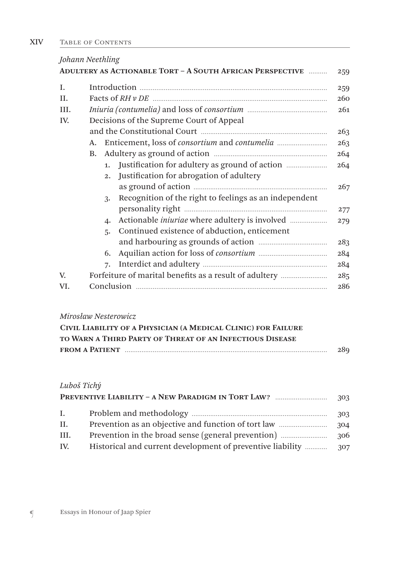| Johann Neethling |                                          |    |                                                                   |     |
|------------------|------------------------------------------|----|-------------------------------------------------------------------|-----|
|                  |                                          |    | <b>ADULTERY AS ACTIONABLE TORT - A SOUTH AFRICAN PERSPECTIVE </b> | 259 |
| I.               |                                          |    |                                                                   | 259 |
| H.               |                                          |    |                                                                   | 260 |
| III.             |                                          |    |                                                                   | 261 |
| IV.              | Decisions of the Supreme Court of Appeal |    |                                                                   |     |
|                  |                                          |    |                                                                   |     |
|                  |                                          |    |                                                                   | 263 |
|                  | <b>B.</b>                                |    |                                                                   | 264 |
|                  |                                          | 1. | Justification for adultery as ground of action                    | 264 |
|                  |                                          | 2. | Justification for abrogation of adultery                          |     |
|                  |                                          |    |                                                                   | 267 |
|                  |                                          | 3. | Recognition of the right to feelings as an independent            |     |
|                  |                                          |    |                                                                   | 277 |
|                  |                                          | 4. |                                                                   | 279 |
|                  |                                          | 5. | Continued existence of abduction, enticement                      |     |
|                  |                                          |    |                                                                   | 283 |
|                  |                                          | 6. |                                                                   | 284 |
|                  |                                          | 7. |                                                                   | 284 |
| V.               |                                          |    | Forfeiture of marital benefits as a result of adultery            | 285 |
| VI.              |                                          |    |                                                                   | 286 |

#### *Mirosław Nesterowicz*

| CIVIL LIABILITY OF A PHYSICIAN (A MEDICAL CLINIC) FOR FAILURE |     |
|---------------------------------------------------------------|-----|
| TO WARN A THIRD PARTY OF THREAT OF AN INFECTIOUS DISEASE      |     |
|                                                               | 289 |

#### *Luboš Tichý*

| $\mathbf{I}$ . | 303 |
|----------------|-----|
| Н.             | 304 |
| III.           |     |
| IV.            |     |